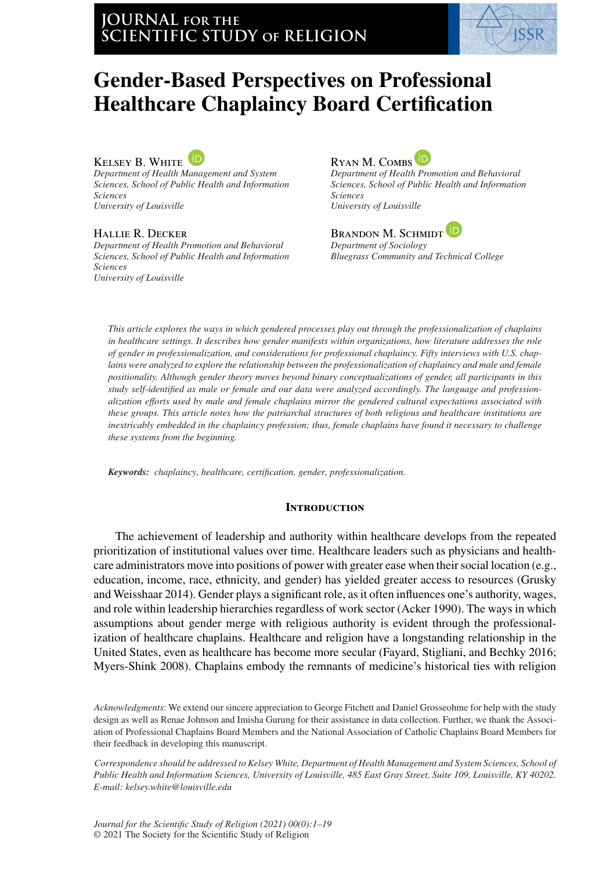

# **Gender-Based Perspectives on Professional Healthcare Chaplaincy Board Certification**

KELSEY B. WHITE

*Department of Health Management and System Sciences, School of Public Health and Information Sciences University of Louisville*

Hallie R. Decker

*Department of Health Promotion and Behavioral Sciences, School of Public Health and Information Sciences University of Louisville*



*Department of Health Promotion and Behavioral Sciences, School of Public Health and Information Sciences University of Louisville*

Brandon M. Schmidt

*Department of Sociology Bluegrass Community and Technical College*

*This article explores the ways in which gendered processes play out through the professionalization of chaplains in healthcare settings. It describes how gender manifests within organizations, how literature addresses the role of gender in professionalization, and considerations for professional chaplaincy. Fifty interviews with U.S. chaplains were analyzed to explore the relationship between the professionalization of chaplaincy and male and female positionality. Although gender theory moves beyond binary conceptualizations of gender, all participants in this study self-identified as male or female and our data were analyzed accordingly. The language and professionalization efforts used by male and female chaplains mirror the gendered cultural expectations associated with these groups. This article notes how the patriarchal structures of both religious and healthcare institutions are inextricably embedded in the chaplaincy profession; thus, female chaplains have found it necessary to challenge these systems from the beginning.*

*Keywords: chaplaincy, healthcare, certification, gender, professionalization.*

## **INTRODUCTION**

The achievement of leadership and authority within healthcare develops from the repeated prioritization of institutional values over time. Healthcare leaders such as physicians and healthcare administrators move into positions of power with greater ease when their social location (e.g., education, income, race, ethnicity, and gender) has yielded greater access to resources (Grusky and Weisshaar 2014). Gender plays a significant role, as it often influences one's authority, wages, and role within leadership hierarchies regardless of work sector (Acker 1990). The ways in which assumptions about gender merge with religious authority is evident through the professionalization of healthcare chaplains. Healthcare and religion have a longstanding relationship in the United States, even as healthcare has become more secular (Fayard, Stigliani, and Bechky 2016; Myers-Shink 2008). Chaplains embody the remnants of medicine's historical ties with religion

*Acknowledgments*: We extend our sincere appreciation to George Fitchett and Daniel Grosseohme for help with the study design as well as Renae Johnson and Imisha Gurung for their assistance in data collection. Further, we thank the Association of Professional Chaplains Board Members and the National Association of Catholic Chaplains Board Members for their feedback in developing this manuscript.

*Correspondence should be addressed to Kelsey White, Department of Health Management and System Sciences, School of Public Health and Information Sciences, University of Louisville, 485 East Gray Street, Suite 109, Louisville, KY 40202. E-mail: kelsey.white@louisville.edu*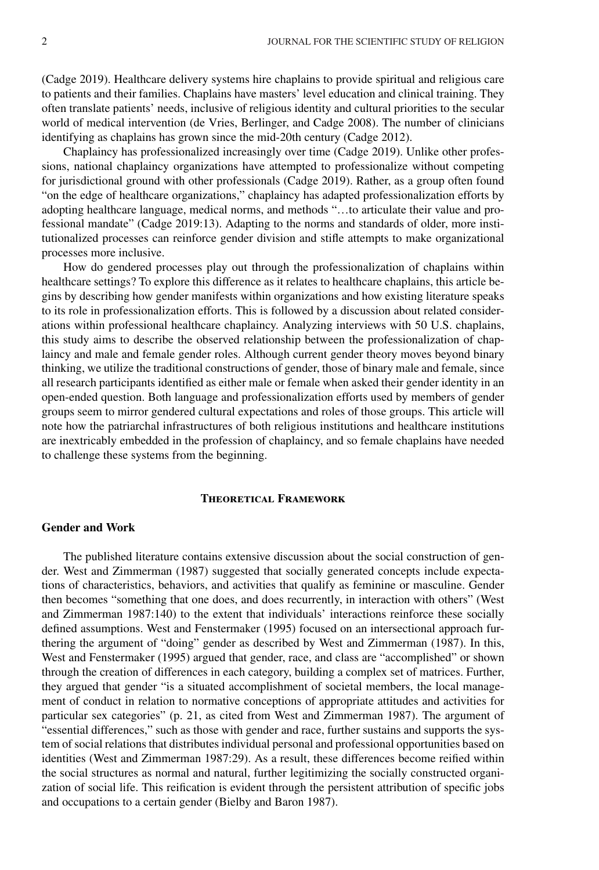(Cadge 2019). Healthcare delivery systems hire chaplains to provide spiritual and religious care to patients and their families. Chaplains have masters' level education and clinical training. They often translate patients' needs, inclusive of religious identity and cultural priorities to the secular world of medical intervention (de Vries, Berlinger, and Cadge 2008). The number of clinicians identifying as chaplains has grown since the mid-20th century (Cadge 2012).

Chaplaincy has professionalized increasingly over time (Cadge 2019). Unlike other professions, national chaplaincy organizations have attempted to professionalize without competing for jurisdictional ground with other professionals (Cadge 2019). Rather, as a group often found "on the edge of healthcare organizations," chaplaincy has adapted professionalization efforts by adopting healthcare language, medical norms, and methods "…to articulate their value and professional mandate" (Cadge 2019:13). Adapting to the norms and standards of older, more institutionalized processes can reinforce gender division and stifle attempts to make organizational processes more inclusive.

How do gendered processes play out through the professionalization of chaplains within healthcare settings? To explore this difference as it relates to healthcare chaplains, this article begins by describing how gender manifests within organizations and how existing literature speaks to its role in professionalization efforts. This is followed by a discussion about related considerations within professional healthcare chaplaincy. Analyzing interviews with 50 U.S. chaplains, this study aims to describe the observed relationship between the professionalization of chaplaincy and male and female gender roles. Although current gender theory moves beyond binary thinking, we utilize the traditional constructions of gender, those of binary male and female, since all research participants identified as either male or female when asked their gender identity in an open-ended question. Both language and professionalization efforts used by members of gender groups seem to mirror gendered cultural expectations and roles of those groups. This article will note how the patriarchal infrastructures of both religious institutions and healthcare institutions are inextricably embedded in the profession of chaplaincy, and so female chaplains have needed to challenge these systems from the beginning.

## **Theoretical Framework**

## **Gender and Work**

The published literature contains extensive discussion about the social construction of gender. West and Zimmerman (1987) suggested that socially generated concepts include expectations of characteristics, behaviors, and activities that qualify as feminine or masculine. Gender then becomes "something that one does, and does recurrently, in interaction with others" (West and Zimmerman 1987:140) to the extent that individuals' interactions reinforce these socially defined assumptions. West and Fenstermaker (1995) focused on an intersectional approach furthering the argument of "doing" gender as described by West and Zimmerman (1987). In this, West and Fenstermaker (1995) argued that gender, race, and class are "accomplished" or shown through the creation of differences in each category, building a complex set of matrices. Further, they argued that gender "is a situated accomplishment of societal members, the local management of conduct in relation to normative conceptions of appropriate attitudes and activities for particular sex categories" (p. 21, as cited from West and Zimmerman 1987). The argument of "essential differences," such as those with gender and race, further sustains and supports the system of social relations that distributes individual personal and professional opportunities based on identities (West and Zimmerman 1987:29). As a result, these differences become reified within the social structures as normal and natural, further legitimizing the socially constructed organization of social life. This reification is evident through the persistent attribution of specific jobs and occupations to a certain gender (Bielby and Baron 1987).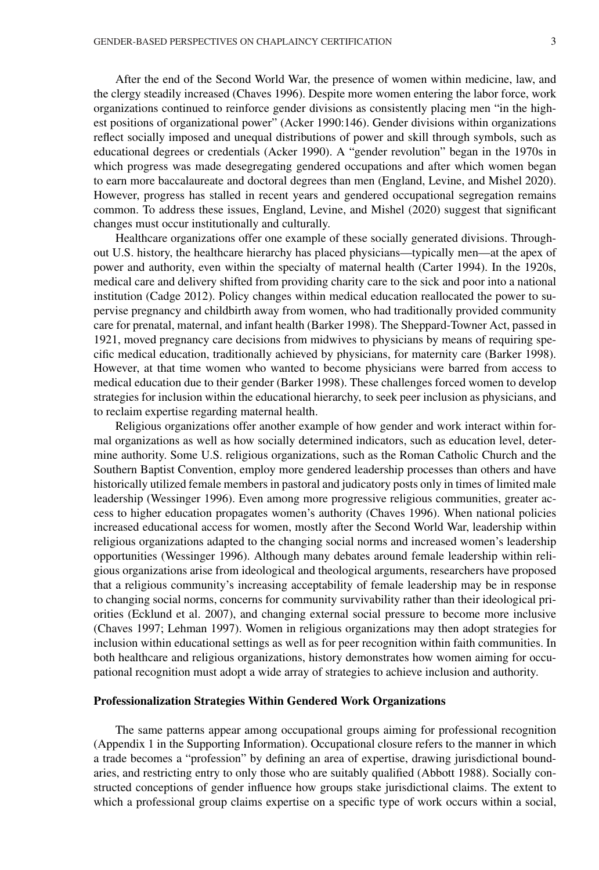After the end of the Second World War, the presence of women within medicine, law, and the clergy steadily increased (Chaves 1996). Despite more women entering the labor force, work organizations continued to reinforce gender divisions as consistently placing men "in the highest positions of organizational power" (Acker 1990:146). Gender divisions within organizations reflect socially imposed and unequal distributions of power and skill through symbols, such as educational degrees or credentials (Acker 1990). A "gender revolution" began in the 1970s in which progress was made desegregating gendered occupations and after which women began to earn more baccalaureate and doctoral degrees than men (England, Levine, and Mishel 2020). However, progress has stalled in recent years and gendered occupational segregation remains common. To address these issues, England, Levine, and Mishel (2020) suggest that significant changes must occur institutionally and culturally.

Healthcare organizations offer one example of these socially generated divisions. Throughout U.S. history, the healthcare hierarchy has placed physicians—typically men—at the apex of power and authority, even within the specialty of maternal health (Carter 1994). In the 1920s, medical care and delivery shifted from providing charity care to the sick and poor into a national institution (Cadge 2012). Policy changes within medical education reallocated the power to supervise pregnancy and childbirth away from women, who had traditionally provided community care for prenatal, maternal, and infant health (Barker 1998). The Sheppard-Towner Act, passed in 1921, moved pregnancy care decisions from midwives to physicians by means of requiring specific medical education, traditionally achieved by physicians, for maternity care (Barker 1998). However, at that time women who wanted to become physicians were barred from access to medical education due to their gender (Barker 1998). These challenges forced women to develop strategies for inclusion within the educational hierarchy, to seek peer inclusion as physicians, and to reclaim expertise regarding maternal health.

Religious organizations offer another example of how gender and work interact within formal organizations as well as how socially determined indicators, such as education level, determine authority. Some U.S. religious organizations, such as the Roman Catholic Church and the Southern Baptist Convention, employ more gendered leadership processes than others and have historically utilized female members in pastoral and judicatory posts only in times of limited male leadership (Wessinger 1996). Even among more progressive religious communities, greater access to higher education propagates women's authority (Chaves 1996). When national policies increased educational access for women, mostly after the Second World War, leadership within religious organizations adapted to the changing social norms and increased women's leadership opportunities (Wessinger 1996). Although many debates around female leadership within religious organizations arise from ideological and theological arguments, researchers have proposed that a religious community's increasing acceptability of female leadership may be in response to changing social norms, concerns for community survivability rather than their ideological priorities (Ecklund et al. 2007), and changing external social pressure to become more inclusive (Chaves 1997; Lehman 1997). Women in religious organizations may then adopt strategies for inclusion within educational settings as well as for peer recognition within faith communities. In both healthcare and religious organizations, history demonstrates how women aiming for occupational recognition must adopt a wide array of strategies to achieve inclusion and authority.

#### **Professionalization Strategies Within Gendered Work Organizations**

The same patterns appear among occupational groups aiming for professional recognition (Appendix 1 in the Supporting Information). Occupational closure refers to the manner in which a trade becomes a "profession" by defining an area of expertise, drawing jurisdictional boundaries, and restricting entry to only those who are suitably qualified (Abbott 1988). Socially constructed conceptions of gender influence how groups stake jurisdictional claims. The extent to which a professional group claims expertise on a specific type of work occurs within a social,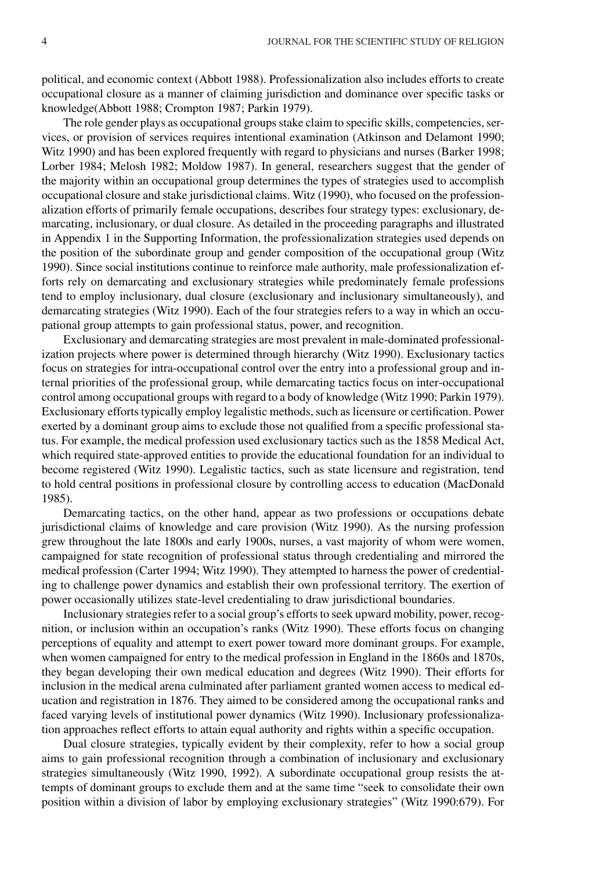political, and economic context (Abbott 1988). Professionalization also includes efforts to create occupational closure as a manner of claiming jurisdiction and dominance over specific tasks or knowledge(Abbott 1988; Crompton 1987; Parkin 1979).

The role gender plays as occupational groups stake claim to specific skills, competencies, services, or provision of services requires intentional examination (Atkinson and Delamont 1990; Witz 1990) and has been explored frequently with regard to physicians and nurses (Barker 1998; Lorber 1984; Melosh 1982; Moldow 1987). In general, researchers suggest that the gender of the majority within an occupational group determines the types of strategies used to accomplish occupational closure and stake jurisdictional claims. Witz (1990), who focused on the professionalization efforts of primarily female occupations, describes four strategy types: exclusionary, demarcating, inclusionary, or dual closure. As detailed in the proceeding paragraphs and illustrated in Appendix 1 in the Supporting Information, the professionalization strategies used depends on the position of the subordinate group and gender composition of the occupational group (Witz 1990). Since social institutions continue to reinforce male authority, male professionalization efforts rely on demarcating and exclusionary strategies while predominately female professions tend to employ inclusionary, dual closure (exclusionary and inclusionary simultaneously), and demarcating strategies (Witz 1990). Each of the four strategies refers to a way in which an occupational group attempts to gain professional status, power, and recognition.

Exclusionary and demarcating strategies are most prevalent in male-dominated professionalization projects where power is determined through hierarchy (Witz 1990). Exclusionary tactics focus on strategies for intra-occupational control over the entry into a professional group and internal priorities of the professional group, while demarcating tactics focus on inter-occupational control among occupational groups with regard to a body of knowledge (Witz 1990; Parkin 1979). Exclusionary efforts typically employ legalistic methods, such as licensure or certification. Power exerted by a dominant group aims to exclude those not qualified from a specific professional status. For example, the medical profession used exclusionary tactics such as the 1858 Medical Act, which required state-approved entities to provide the educational foundation for an individual to become registered (Witz 1990). Legalistic tactics, such as state licensure and registration, tend to hold central positions in professional closure by controlling access to education (MacDonald 1985).

Demarcating tactics, on the other hand, appear as two professions or occupations debate jurisdictional claims of knowledge and care provision (Witz 1990). As the nursing profession grew throughout the late 1800s and early 1900s, nurses, a vast majority of whom were women, campaigned for state recognition of professional status through credentialing and mirrored the medical profession (Carter 1994; Witz 1990). They attempted to harness the power of credentialing to challenge power dynamics and establish their own professional territory. The exertion of power occasionally utilizes state-level credentialing to draw jurisdictional boundaries.

Inclusionary strategies refer to a social group's efforts to seek upward mobility, power, recognition, or inclusion within an occupation's ranks (Witz 1990). These efforts focus on changing perceptions of equality and attempt to exert power toward more dominant groups. For example, when women campaigned for entry to the medical profession in England in the 1860s and 1870s, they began developing their own medical education and degrees (Witz 1990). Their efforts for inclusion in the medical arena culminated after parliament granted women access to medical education and registration in 1876. They aimed to be considered among the occupational ranks and faced varying levels of institutional power dynamics (Witz 1990). Inclusionary professionalization approaches reflect efforts to attain equal authority and rights within a specific occupation.

Dual closure strategies, typically evident by their complexity, refer to how a social group aims to gain professional recognition through a combination of inclusionary and exclusionary strategies simultaneously (Witz 1990, 1992). A subordinate occupational group resists the attempts of dominant groups to exclude them and at the same time "seek to consolidate their own position within a division of labor by employing exclusionary strategies" (Witz 1990:679). For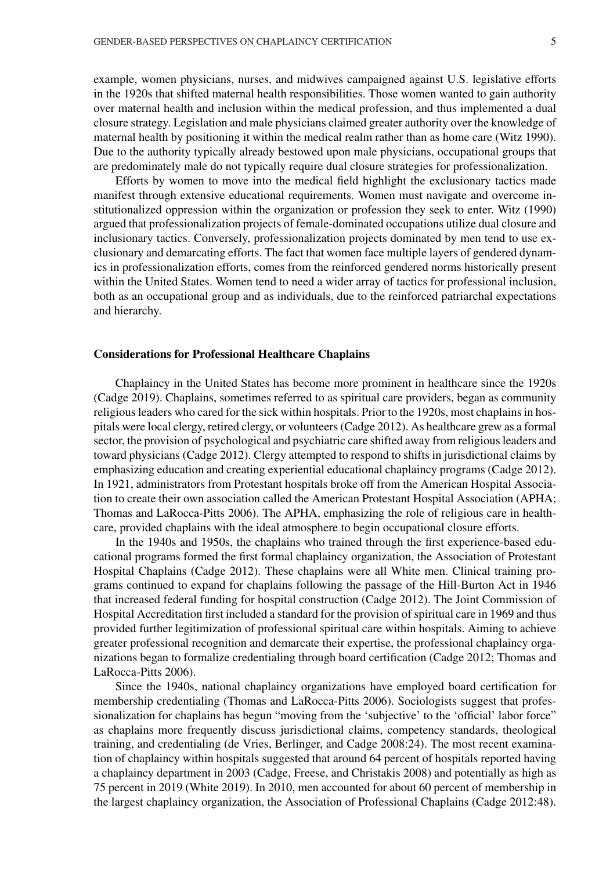example, women physicians, nurses, and midwives campaigned against U.S. legislative efforts in the 1920s that shifted maternal health responsibilities. Those women wanted to gain authority over maternal health and inclusion within the medical profession, and thus implemented a dual closure strategy. Legislation and male physicians claimed greater authority over the knowledge of maternal health by positioning it within the medical realm rather than as home care (Witz 1990). Due to the authority typically already bestowed upon male physicians, occupational groups that are predominately male do not typically require dual closure strategies for professionalization.

Efforts by women to move into the medical field highlight the exclusionary tactics made manifest through extensive educational requirements. Women must navigate and overcome institutionalized oppression within the organization or profession they seek to enter. Witz (1990) argued that professionalization projects of female-dominated occupations utilize dual closure and inclusionary tactics. Conversely, professionalization projects dominated by men tend to use exclusionary and demarcating efforts. The fact that women face multiple layers of gendered dynamics in professionalization efforts, comes from the reinforced gendered norms historically present within the United States. Women tend to need a wider array of tactics for professional inclusion, both as an occupational group and as individuals, due to the reinforced patriarchal expectations and hierarchy.

#### **Considerations for Professional Healthcare Chaplains**

Chaplaincy in the United States has become more prominent in healthcare since the 1920s (Cadge 2019). Chaplains, sometimes referred to as spiritual care providers, began as community religious leaders who cared for the sick within hospitals. Prior to the 1920s, most chaplains in hospitals were local clergy, retired clergy, or volunteers (Cadge 2012). As healthcare grew as a formal sector, the provision of psychological and psychiatric care shifted away from religious leaders and toward physicians (Cadge 2012). Clergy attempted to respond to shifts in jurisdictional claims by emphasizing education and creating experiential educational chaplaincy programs (Cadge 2012). In 1921, administrators from Protestant hospitals broke off from the American Hospital Association to create their own association called the American Protestant Hospital Association (APHA; Thomas and LaRocca-Pitts 2006). The APHA, emphasizing the role of religious care in healthcare, provided chaplains with the ideal atmosphere to begin occupational closure efforts.

In the 1940s and 1950s, the chaplains who trained through the first experience-based educational programs formed the first formal chaplaincy organization, the Association of Protestant Hospital Chaplains (Cadge 2012). These chaplains were all White men. Clinical training programs continued to expand for chaplains following the passage of the Hill-Burton Act in 1946 that increased federal funding for hospital construction (Cadge 2012). The Joint Commission of Hospital Accreditation first included a standard for the provision of spiritual care in 1969 and thus provided further legitimization of professional spiritual care within hospitals. Aiming to achieve greater professional recognition and demarcate their expertise, the professional chaplaincy organizations began to formalize credentialing through board certification (Cadge 2012; Thomas and LaRocca-Pitts 2006).

Since the 1940s, national chaplaincy organizations have employed board certification for membership credentialing (Thomas and LaRocca-Pitts 2006). Sociologists suggest that professionalization for chaplains has begun "moving from the 'subjective' to the 'official' labor force" as chaplains more frequently discuss jurisdictional claims, competency standards, theological training, and credentialing (de Vries, Berlinger, and Cadge 2008:24). The most recent examination of chaplaincy within hospitals suggested that around 64 percent of hospitals reported having a chaplaincy department in 2003 (Cadge, Freese, and Christakis 2008) and potentially as high as 75 percent in 2019 (White 2019). In 2010, men accounted for about 60 percent of membership in the largest chaplaincy organization, the Association of Professional Chaplains (Cadge 2012:48).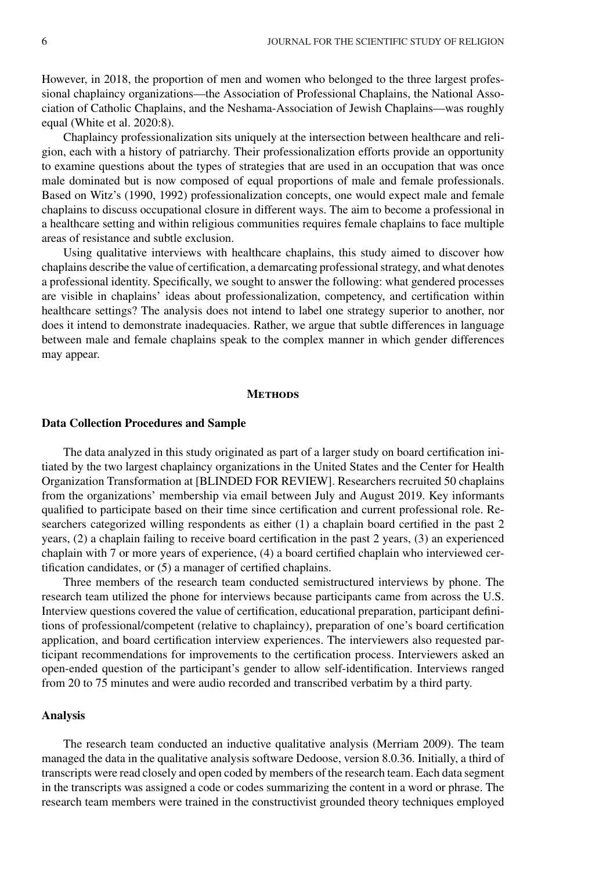However, in 2018, the proportion of men and women who belonged to the three largest professional chaplaincy organizations—the Association of Professional Chaplains, the National Association of Catholic Chaplains, and the Neshama-Association of Jewish Chaplains—was roughly equal (White et al. 2020:8).

Chaplaincy professionalization sits uniquely at the intersection between healthcare and religion, each with a history of patriarchy. Their professionalization efforts provide an opportunity to examine questions about the types of strategies that are used in an occupation that was once male dominated but is now composed of equal proportions of male and female professionals. Based on Witz's (1990, 1992) professionalization concepts, one would expect male and female chaplains to discuss occupational closure in different ways. The aim to become a professional in a healthcare setting and within religious communities requires female chaplains to face multiple areas of resistance and subtle exclusion.

Using qualitative interviews with healthcare chaplains, this study aimed to discover how chaplains describe the value of certification, a demarcating professional strategy, and what denotes a professional identity. Specifically, we sought to answer the following: what gendered processes are visible in chaplains' ideas about professionalization, competency, and certification within healthcare settings? The analysis does not intend to label one strategy superior to another, nor does it intend to demonstrate inadequacies. Rather, we argue that subtle differences in language between male and female chaplains speak to the complex manner in which gender differences may appear.

#### **METHODS**

#### **Data Collection Procedures and Sample**

The data analyzed in this study originated as part of a larger study on board certification initiated by the two largest chaplaincy organizations in the United States and the Center for Health Organization Transformation at [BLINDED FOR REVIEW]. Researchers recruited 50 chaplains from the organizations' membership via email between July and August 2019. Key informants qualified to participate based on their time since certification and current professional role. Researchers categorized willing respondents as either (1) a chaplain board certified in the past 2 years, (2) a chaplain failing to receive board certification in the past 2 years, (3) an experienced chaplain with 7 or more years of experience, (4) a board certified chaplain who interviewed certification candidates, or (5) a manager of certified chaplains.

Three members of the research team conducted semistructured interviews by phone. The research team utilized the phone for interviews because participants came from across the U.S. Interview questions covered the value of certification, educational preparation, participant definitions of professional/competent (relative to chaplaincy), preparation of one's board certification application, and board certification interview experiences. The interviewers also requested participant recommendations for improvements to the certification process. Interviewers asked an open-ended question of the participant's gender to allow self-identification. Interviews ranged from 20 to 75 minutes and were audio recorded and transcribed verbatim by a third party.

## **Analysis**

The research team conducted an inductive qualitative analysis (Merriam 2009). The team managed the data in the qualitative analysis software Dedoose, version 8.0.36. Initially, a third of transcripts were read closely and open coded by members of the research team. Each data segment in the transcripts was assigned a code or codes summarizing the content in a word or phrase. The research team members were trained in the constructivist grounded theory techniques employed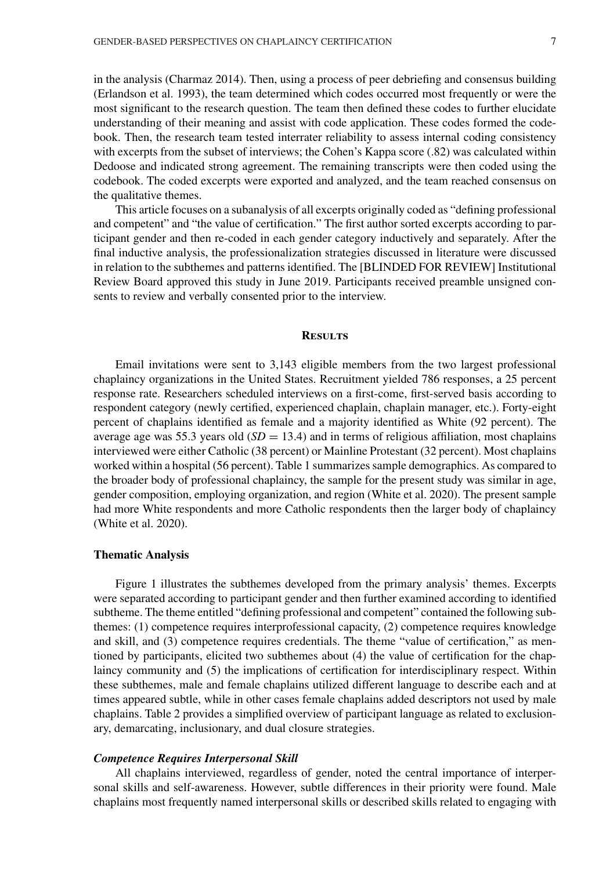in the analysis (Charmaz 2014). Then, using a process of peer debriefing and consensus building (Erlandson et al. 1993), the team determined which codes occurred most frequently or were the most significant to the research question. The team then defined these codes to further elucidate understanding of their meaning and assist with code application. These codes formed the codebook. Then, the research team tested interrater reliability to assess internal coding consistency with excerpts from the subset of interviews; the Cohen's Kappa score (.82) was calculated within Dedoose and indicated strong agreement. The remaining transcripts were then coded using the codebook. The coded excerpts were exported and analyzed, and the team reached consensus on the qualitative themes.

This article focuses on a subanalysis of all excerpts originally coded as "defining professional and competent" and "the value of certification." The first author sorted excerpts according to participant gender and then re-coded in each gender category inductively and separately. After the final inductive analysis, the professionalization strategies discussed in literature were discussed in relation to the subthemes and patterns identified. The [BLINDED FOR REVIEW] Institutional Review Board approved this study in June 2019. Participants received preamble unsigned consents to review and verbally consented prior to the interview.

### **Results**

Email invitations were sent to 3,143 eligible members from the two largest professional chaplaincy organizations in the United States. Recruitment yielded 786 responses, a 25 percent response rate. Researchers scheduled interviews on a first-come, first-served basis according to respondent category (newly certified, experienced chaplain, chaplain manager, etc.). Forty-eight percent of chaplains identified as female and a majority identified as White (92 percent). The average age was 55.3 years old  $(SD = 13.4)$  and in terms of religious affiliation, most chaplains interviewed were either Catholic (38 percent) or Mainline Protestant (32 percent). Most chaplains worked within a hospital (56 percent). Table 1 summarizes sample demographics. As compared to the broader body of professional chaplaincy, the sample for the present study was similar in age, gender composition, employing organization, and region (White et al. 2020). The present sample had more White respondents and more Catholic respondents then the larger body of chaplaincy (White et al. 2020).

## **Thematic Analysis**

Figure 1 illustrates the subthemes developed from the primary analysis' themes. Excerpts were separated according to participant gender and then further examined according to identified subtheme. The theme entitled "defining professional and competent" contained the following subthemes: (1) competence requires interprofessional capacity, (2) competence requires knowledge and skill, and (3) competence requires credentials. The theme "value of certification," as mentioned by participants, elicited two subthemes about (4) the value of certification for the chaplaincy community and (5) the implications of certification for interdisciplinary respect. Within these subthemes, male and female chaplains utilized different language to describe each and at times appeared subtle, while in other cases female chaplains added descriptors not used by male chaplains. Table 2 provides a simplified overview of participant language as related to exclusionary, demarcating, inclusionary, and dual closure strategies.

#### *Competence Requires Interpersonal Skill*

All chaplains interviewed, regardless of gender, noted the central importance of interpersonal skills and self-awareness. However, subtle differences in their priority were found. Male chaplains most frequently named interpersonal skills or described skills related to engaging with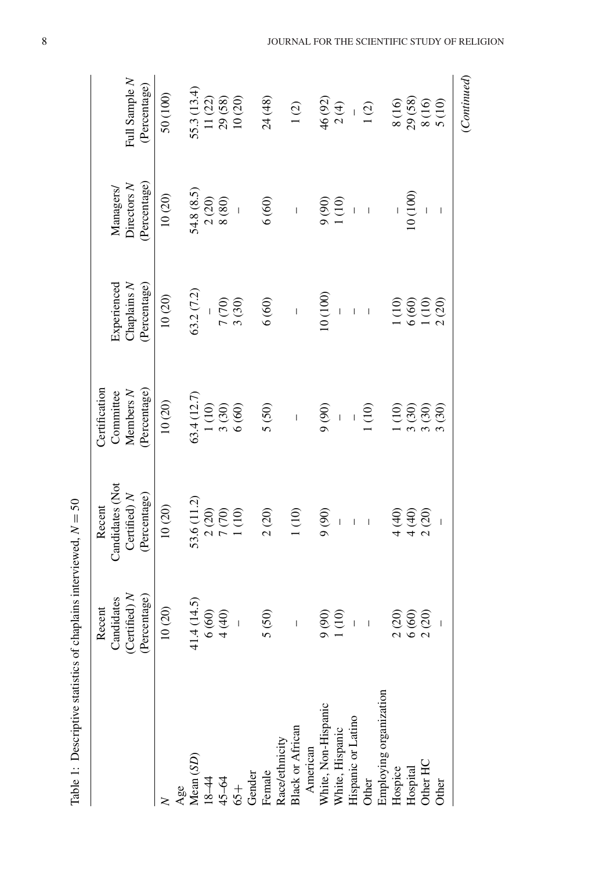|                                                    |                                               |                                                        | Certification                             |                                                                 |                                               |                                              |
|----------------------------------------------------|-----------------------------------------------|--------------------------------------------------------|-------------------------------------------|-----------------------------------------------------------------|-----------------------------------------------|----------------------------------------------|
|                                                    | Candidates<br>Recent                          | Candidates (Not<br>Recent                              | Committee                                 | Experienced                                                     | Managers/                                     |                                              |
|                                                    | (Certified) N                                 | Certified) N                                           | Members N                                 | Chaplains N                                                     | Directors $N$                                 | Full Sample N                                |
|                                                    | (Percentage)                                  | (Percentage)                                           | (Percentage)                              | Percentage)                                                     | (Percentage)                                  | (Percentage)                                 |
|                                                    | $10\ (20)$                                    | $10(20)$                                               | $10\ (20)$                                | $10(20)$                                                        | 10(20)                                        | 50 (100)                                     |
|                                                    |                                               |                                                        |                                           |                                                                 |                                               |                                              |
| $\frac{\text{Age}}{\text{Mean}(SD)}$               |                                               | 53.6 (11.2)                                            |                                           | 63.2(7.2)                                                       | 54.8(8.5)                                     |                                              |
|                                                    |                                               |                                                        |                                           |                                                                 |                                               |                                              |
| $18-44$<br>45-64<br>65+<br>Gender                  | $41.4(14.5)$<br>$6(60)$<br>$4(40)$            | $\begin{array}{c} 2(20) \\ 7(70) \\ 1(10) \end{array}$ | 63.4 (12.7)<br>1 (10)<br>3 (30)<br>6 (60) |                                                                 | $\frac{2(20)}{8(80)}$                         | 55.3 (13.4)<br>11 (22)<br>29 (58)<br>10 (20) |
|                                                    | $\overline{\phantom{a}}$                      |                                                        |                                           | $7(70)$<br>3 (30)                                               |                                               |                                              |
|                                                    |                                               |                                                        |                                           |                                                                 |                                               |                                              |
| Female                                             | 5(50)                                         | 2(20)                                                  | 5(50)                                     | $6(60)$                                                         | 6(60)                                         | 24(48)                                       |
| Race/ethnicity                                     |                                               |                                                        |                                           |                                                                 |                                               |                                              |
| <b>Black or African</b>                            | $\overline{1}$                                | 1(10)                                                  | $\overline{1}$                            | $\overline{1}$                                                  | $\overline{1}$                                | (2)                                          |
|                                                    |                                               |                                                        |                                           |                                                                 |                                               |                                              |
|                                                    |                                               | (90)                                                   | (06)                                      | 10(100)                                                         |                                               | 46 (92)                                      |
| American<br>White, Non-Hispanic<br>White, Hispanic | $\begin{array}{c} 9(90) \\ 1(10) \end{array}$ |                                                        |                                           |                                                                 | $\begin{array}{c} 9(90) \\ 1(10) \end{array}$ | 2(4)                                         |
| Hispanic or Latino                                 |                                               | $\overline{1}$                                         |                                           | $\overline{1}$                                                  | $\overline{1}$                                |                                              |
| Other                                              |                                               | $\mathsf I$                                            | (10)                                      | $\mathbf{I}$                                                    | $\bar{1}$                                     | 1(2)                                         |
| Employing organization                             |                                               |                                                        |                                           |                                                                 |                                               |                                              |
| Hospice                                            |                                               | 4(40)                                                  |                                           |                                                                 |                                               | 8 (16)                                       |
| Hospital                                           | $2(20)$<br>$6(60)$<br>$2(20)$                 |                                                        | $\frac{1(10)}{3(30)}$                     |                                                                 | $10\,(100)$                                   |                                              |
| Other HC                                           |                                               | $4(40)$<br>2(20)                                       |                                           |                                                                 |                                               | $\frac{29(58)}{8(16)}$                       |
| Other                                              |                                               |                                                        | 3(30)                                     | $\begin{array}{c} 1\,00 \\ 6\,60 \\ 1\,10 \\ 2\,20 \end{array}$ | $\begin{array}{c} \hline \end{array}$         | 5 (10)                                       |
|                                                    |                                               |                                                        |                                           |                                                                 |                                               | (Continued)                                  |

Table 1: Descriptive statistics of chaplains interviewed, *N* = 50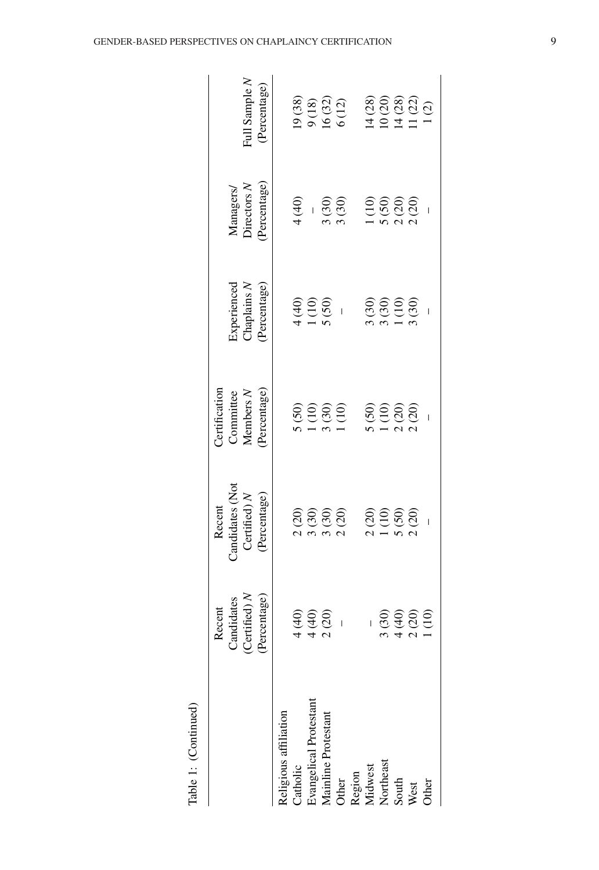|                                         | Recent                     | Recent                                                                                   | <b>Dertification</b>                           |                            |                                                            |                                                                                                                                                                                                                                                                                                                                                                        |
|-----------------------------------------|----------------------------|------------------------------------------------------------------------------------------|------------------------------------------------|----------------------------|------------------------------------------------------------|------------------------------------------------------------------------------------------------------------------------------------------------------------------------------------------------------------------------------------------------------------------------------------------------------------------------------------------------------------------------|
|                                         | Candidates                 | Candidates (Not                                                                          | Committee                                      |                            |                                                            |                                                                                                                                                                                                                                                                                                                                                                        |
|                                         | (Certified) N              | Certified) $N$                                                                           | Members N                                      | Experienced<br>Chaplains N | Managers/<br>Directors N                                   | Full Sample N                                                                                                                                                                                                                                                                                                                                                          |
|                                         | (Percentage)               | (Percentage)                                                                             | Percentage                                     | Percentage)                | Percentage)                                                | (Percentage)                                                                                                                                                                                                                                                                                                                                                           |
| Religious affiliation                   |                            |                                                                                          |                                                |                            |                                                            |                                                                                                                                                                                                                                                                                                                                                                        |
| Catholic                                |                            |                                                                                          |                                                |                            | (140)                                                      |                                                                                                                                                                                                                                                                                                                                                                        |
| Evangelical Protestant                  |                            |                                                                                          |                                                |                            | $\overline{1}$                                             |                                                                                                                                                                                                                                                                                                                                                                        |
| Mainline Protestant                     | $(40)$<br>$(40)$<br>$(20)$ |                                                                                          |                                                | $(40)$<br>$(10)$<br>$(50)$ |                                                            |                                                                                                                                                                                                                                                                                                                                                                        |
|                                         |                            | $\begin{smallmatrix} 2 & 0 & 0 \\ 2 & 0 & 0 \\ 0 & 0 & 0 \\ 0 & 0 & 0 \end{smallmatrix}$ | $(50)$<br>$(10)$<br>$(10)$<br>$(10)$<br>$(10)$ | $\overline{\phantom{a}}$   | i (30)<br>i (30)                                           | $\begin{array}{c} 19\ (38) \\ 9\ (18) \\ 16\ (32) \\ 6\ (12) \end{array}$                                                                                                                                                                                                                                                                                              |
|                                         |                            |                                                                                          |                                                |                            |                                                            |                                                                                                                                                                                                                                                                                                                                                                        |
| Other<br>Region<br>Midwest<br>Mortheast |                            |                                                                                          |                                                |                            |                                                            |                                                                                                                                                                                                                                                                                                                                                                        |
|                                         | 3(30)                      |                                                                                          | $(50)$<br>$(10)$<br>$(20)$<br>$(20)$           |                            | $\begin{array}{c} 100 \\ 1000 \\ 0000 \\ 0000 \end{array}$ | $\begin{array}{c} (28) \\ (20) \\ (28) \\ (28) \\ (10) \\ (29) \\ (11) \\ (20) \\ (11) \\ (21) \\ (22) \\ (23) \\ (24) \\ (25) \\ (29) \\ (21) \\ (21) \\ (22) \\ (23) \\ (24) \\ (25) \\ (27) \\ (29) \\ (21) \\ (23) \\ (24) \\ (25) \\ (27) \\ (29) \\ (29) \\ (21) \\ (21) \\ (22) \\ (23) \\ (24) \\ (25) \\ (27) \\ (29) \\ (29) \\ (21) \\ (21) \\ (22) \\ (23$ |
| South                                   |                            |                                                                                          |                                                |                            |                                                            |                                                                                                                                                                                                                                                                                                                                                                        |
| West                                    | $400$<br>$200$<br>$100$    |                                                                                          |                                                |                            |                                                            |                                                                                                                                                                                                                                                                                                                                                                        |
| Other                                   |                            |                                                                                          |                                                |                            |                                                            |                                                                                                                                                                                                                                                                                                                                                                        |
|                                         |                            |                                                                                          |                                                |                            |                                                            |                                                                                                                                                                                                                                                                                                                                                                        |

GENDER-BASED PERSPECTIVES ON CHAPLAINCY CERTIFICATION

Table 1: (Continued)

Table 1: (Continued)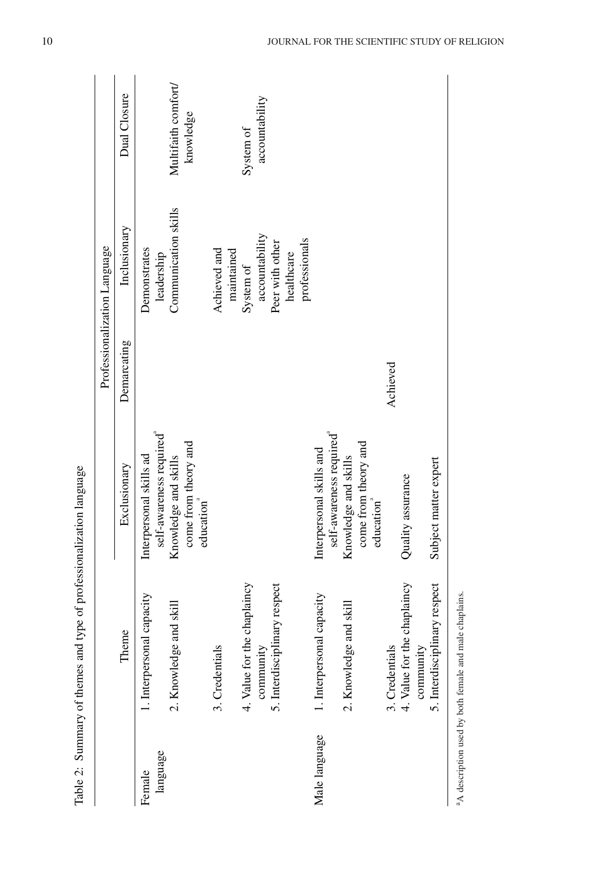|               |                                                                    |                                                                                      |             | Professionalization Language       |                                  |
|---------------|--------------------------------------------------------------------|--------------------------------------------------------------------------------------|-------------|------------------------------------|----------------------------------|
|               | Theme                                                              | Exclusionary                                                                         | Demarcating | Inclusionary                       | Dual Closure                     |
| Female        | 1. Interpersonal capacity                                          | Interpersonal skills ad                                                              |             | Demonstrates                       |                                  |
| language      | 2. Knowledge and skill                                             | self-awareness required <sup>a</sup><br>come from theory and<br>Knowledge and skills |             | Communication skills<br>leadership | Multifaith comfort/<br>knowledge |
|               | 3. Credentials                                                     | education                                                                            |             | Achieved and                       |                                  |
|               |                                                                    |                                                                                      |             | maintained                         |                                  |
|               | 4. Value for the chaplaincy                                        |                                                                                      |             | System of                          | System of                        |
|               | community                                                          |                                                                                      |             | accountability                     | accountability                   |
|               | 5. Interdisciplinary respect                                       |                                                                                      |             | Peer with other                    |                                  |
|               |                                                                    |                                                                                      |             | healthcare                         |                                  |
|               |                                                                    |                                                                                      |             | professionals                      |                                  |
| Male language | 1. Interpersonal capacity                                          | self-awareness required<br>Interpersonal skills and                                  |             |                                    |                                  |
|               | 2. Knowledge and skill                                             | Knowledge and skills                                                                 |             |                                    |                                  |
|               |                                                                    | come from theory and<br>education                                                    |             |                                    |                                  |
|               | 3. Credentials                                                     |                                                                                      | Achieved    |                                    |                                  |
|               | 4. Value for the chaplaincy                                        | Quality assurance                                                                    |             |                                    |                                  |
|               | community                                                          |                                                                                      |             |                                    |                                  |
|               | 5. Interdisciplinary respect                                       | Subject matter expert                                                                |             |                                    |                                  |
|               | <sup>a</sup> A description used by both female and male chaplains. |                                                                                      |             |                                    |                                  |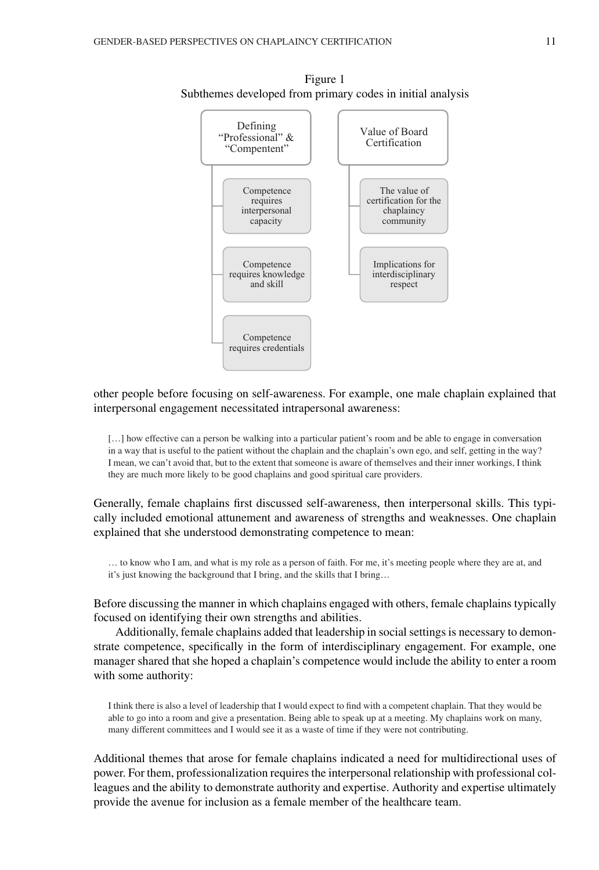

Figure 1 Subthemes developed from primary codes in initial analysis

# other people before focusing on self-awareness. For example, one male chaplain explained that interpersonal engagement necessitated intrapersonal awareness:

[...] how effective can a person be walking into a particular patient's room and be able to engage in conversation in a way that is useful to the patient without the chaplain and the chaplain's own ego, and self, getting in the way? I mean, we can't avoid that, but to the extent that someone is aware of themselves and their inner workings, I think they are much more likely to be good chaplains and good spiritual care providers.

Generally, female chaplains first discussed self-awareness, then interpersonal skills. This typically included emotional attunement and awareness of strengths and weaknesses. One chaplain explained that she understood demonstrating competence to mean:

… to know who I am, and what is my role as a person of faith. For me, it's meeting people where they are at, and it's just knowing the background that I bring, and the skills that I bring…

Before discussing the manner in which chaplains engaged with others, female chaplains typically focused on identifying their own strengths and abilities.

Additionally, female chaplains added that leadership in social settings is necessary to demonstrate competence, specifically in the form of interdisciplinary engagement. For example, one manager shared that she hoped a chaplain's competence would include the ability to enter a room with some authority:

I think there is also a level of leadership that I would expect to find with a competent chaplain. That they would be able to go into a room and give a presentation. Being able to speak up at a meeting. My chaplains work on many, many different committees and I would see it as a waste of time if they were not contributing.

Additional themes that arose for female chaplains indicated a need for multidirectional uses of power. For them, professionalization requires the interpersonal relationship with professional colleagues and the ability to demonstrate authority and expertise. Authority and expertise ultimately provide the avenue for inclusion as a female member of the healthcare team.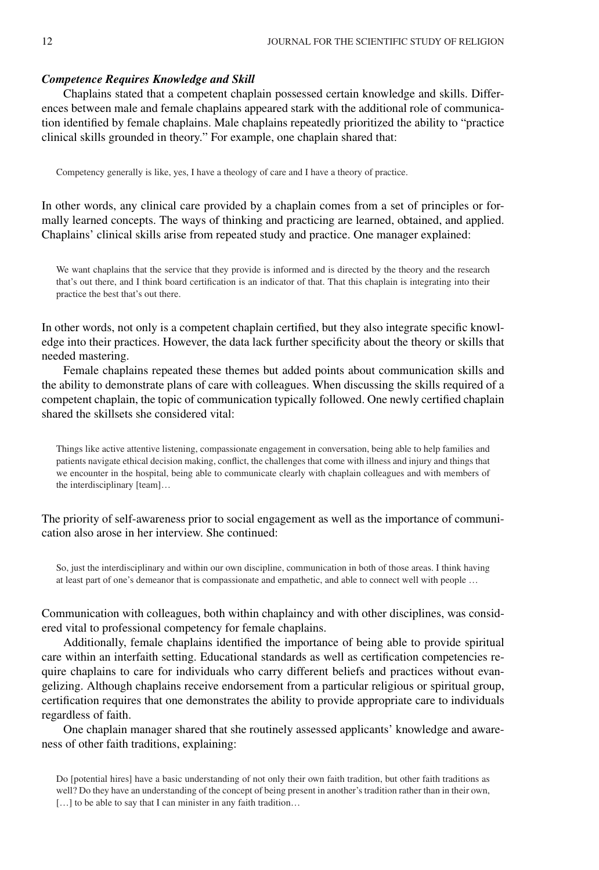## *Competence Requires Knowledge and Skill*

Chaplains stated that a competent chaplain possessed certain knowledge and skills. Differences between male and female chaplains appeared stark with the additional role of communication identified by female chaplains. Male chaplains repeatedly prioritized the ability to "practice clinical skills grounded in theory." For example, one chaplain shared that:

Competency generally is like, yes, I have a theology of care and I have a theory of practice.

In other words, any clinical care provided by a chaplain comes from a set of principles or formally learned concepts. The ways of thinking and practicing are learned, obtained, and applied. Chaplains' clinical skills arise from repeated study and practice. One manager explained:

We want chaplains that the service that they provide is informed and is directed by the theory and the research that's out there, and I think board certification is an indicator of that. That this chaplain is integrating into their practice the best that's out there.

In other words, not only is a competent chaplain certified, but they also integrate specific knowledge into their practices. However, the data lack further specificity about the theory or skills that needed mastering.

Female chaplains repeated these themes but added points about communication skills and the ability to demonstrate plans of care with colleagues. When discussing the skills required of a competent chaplain, the topic of communication typically followed. One newly certified chaplain shared the skillsets she considered vital:

Things like active attentive listening, compassionate engagement in conversation, being able to help families and patients navigate ethical decision making, conflict, the challenges that come with illness and injury and things that we encounter in the hospital, being able to communicate clearly with chaplain colleagues and with members of the interdisciplinary [team]…

The priority of self-awareness prior to social engagement as well as the importance of communication also arose in her interview. She continued:

So, just the interdisciplinary and within our own discipline, communication in both of those areas. I think having at least part of one's demeanor that is compassionate and empathetic, and able to connect well with people …

Communication with colleagues, both within chaplaincy and with other disciplines, was considered vital to professional competency for female chaplains.

Additionally, female chaplains identified the importance of being able to provide spiritual care within an interfaith setting. Educational standards as well as certification competencies require chaplains to care for individuals who carry different beliefs and practices without evangelizing. Although chaplains receive endorsement from a particular religious or spiritual group, certification requires that one demonstrates the ability to provide appropriate care to individuals regardless of faith.

One chaplain manager shared that she routinely assessed applicants' knowledge and awareness of other faith traditions, explaining:

Do [potential hires] have a basic understanding of not only their own faith tradition, but other faith traditions as well? Do they have an understanding of the concept of being present in another's tradition rather than in their own, [...] to be able to say that I can minister in any faith tradition...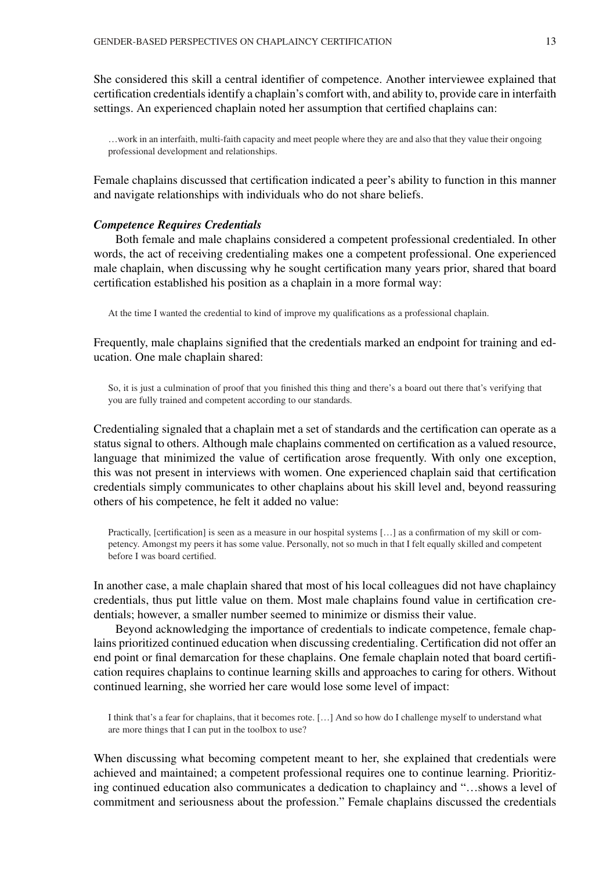She considered this skill a central identifier of competence. Another interviewee explained that certification credentials identify a chaplain's comfort with, and ability to, provide care in interfaith settings. An experienced chaplain noted her assumption that certified chaplains can:

…work in an interfaith, multi-faith capacity and meet people where they are and also that they value their ongoing professional development and relationships.

Female chaplains discussed that certification indicated a peer's ability to function in this manner and navigate relationships with individuals who do not share beliefs.

## *Competence Requires Credentials*

Both female and male chaplains considered a competent professional credentialed. In other words, the act of receiving credentialing makes one a competent professional. One experienced male chaplain, when discussing why he sought certification many years prior, shared that board certification established his position as a chaplain in a more formal way:

At the time I wanted the credential to kind of improve my qualifications as a professional chaplain.

Frequently, male chaplains signified that the credentials marked an endpoint for training and education. One male chaplain shared:

So, it is just a culmination of proof that you finished this thing and there's a board out there that's verifying that you are fully trained and competent according to our standards.

Credentialing signaled that a chaplain met a set of standards and the certification can operate as a status signal to others. Although male chaplains commented on certification as a valued resource, language that minimized the value of certification arose frequently. With only one exception, this was not present in interviews with women. One experienced chaplain said that certification credentials simply communicates to other chaplains about his skill level and, beyond reassuring others of his competence, he felt it added no value:

Practically, [certification] is seen as a measure in our hospital systems […] as a confirmation of my skill or competency. Amongst my peers it has some value. Personally, not so much in that I felt equally skilled and competent before I was board certified.

In another case, a male chaplain shared that most of his local colleagues did not have chaplaincy credentials, thus put little value on them. Most male chaplains found value in certification credentials; however, a smaller number seemed to minimize or dismiss their value.

Beyond acknowledging the importance of credentials to indicate competence, female chaplains prioritized continued education when discussing credentialing. Certification did not offer an end point or final demarcation for these chaplains. One female chaplain noted that board certification requires chaplains to continue learning skills and approaches to caring for others. Without continued learning, she worried her care would lose some level of impact:

I think that's a fear for chaplains, that it becomes rote. […] And so how do I challenge myself to understand what are more things that I can put in the toolbox to use?

When discussing what becoming competent meant to her, she explained that credentials were achieved and maintained; a competent professional requires one to continue learning. Prioritizing continued education also communicates a dedication to chaplaincy and "…shows a level of commitment and seriousness about the profession." Female chaplains discussed the credentials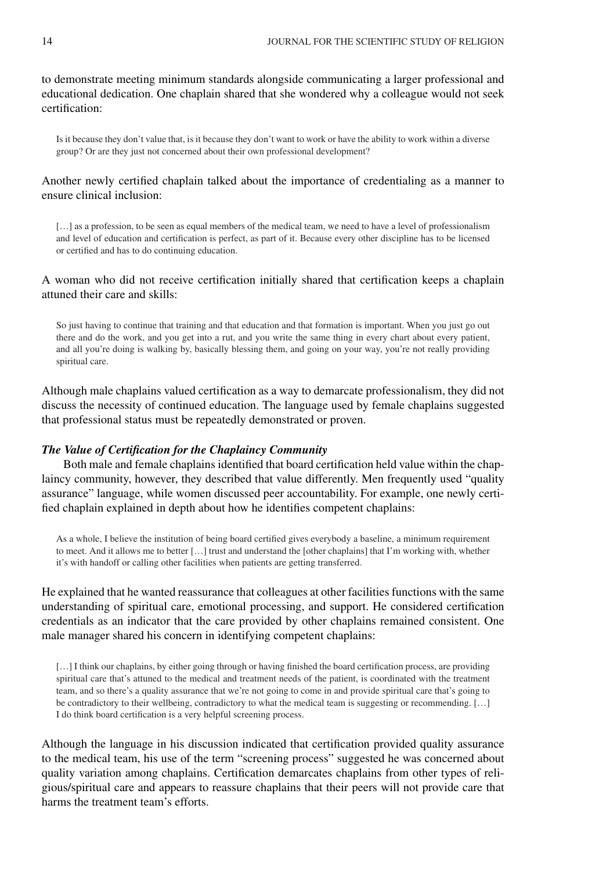to demonstrate meeting minimum standards alongside communicating a larger professional and educational dedication. One chaplain shared that she wondered why a colleague would not seek certification:

Is it because they don't value that, is it because they don't want to work or have the ability to work within a diverse group? Or are they just not concerned about their own professional development?

# Another newly certified chaplain talked about the importance of credentialing as a manner to ensure clinical inclusion:

[...] as a profession, to be seen as equal members of the medical team, we need to have a level of professionalism and level of education and certification is perfect, as part of it. Because every other discipline has to be licensed or certified and has to do continuing education.

# A woman who did not receive certification initially shared that certification keeps a chaplain attuned their care and skills:

So just having to continue that training and that education and that formation is important. When you just go out there and do the work, and you get into a rut, and you write the same thing in every chart about every patient, and all you're doing is walking by, basically blessing them, and going on your way, you're not really providing spiritual care.

Although male chaplains valued certification as a way to demarcate professionalism, they did not discuss the necessity of continued education. The language used by female chaplains suggested that professional status must be repeatedly demonstrated or proven.

# *The Value of Certification for the Chaplaincy Community*

Both male and female chaplains identified that board certification held value within the chaplaincy community, however, they described that value differently. Men frequently used "quality assurance" language, while women discussed peer accountability. For example, one newly certified chaplain explained in depth about how he identifies competent chaplains:

As a whole, I believe the institution of being board certified gives everybody a baseline, a minimum requirement to meet. And it allows me to better […] trust and understand the [other chaplains] that I'm working with, whether it's with handoff or calling other facilities when patients are getting transferred.

He explained that he wanted reassurance that colleagues at other facilities functions with the same understanding of spiritual care, emotional processing, and support. He considered certification credentials as an indicator that the care provided by other chaplains remained consistent. One male manager shared his concern in identifying competent chaplains:

[...] I think our chaplains, by either going through or having finished the board certification process, are providing spiritual care that's attuned to the medical and treatment needs of the patient, is coordinated with the treatment team, and so there's a quality assurance that we're not going to come in and provide spiritual care that's going to be contradictory to their wellbeing, contradictory to what the medical team is suggesting or recommending. […] I do think board certification is a very helpful screening process.

Although the language in his discussion indicated that certification provided quality assurance to the medical team, his use of the term "screening process" suggested he was concerned about quality variation among chaplains. Certification demarcates chaplains from other types of religious/spiritual care and appears to reassure chaplains that their peers will not provide care that harms the treatment team's efforts.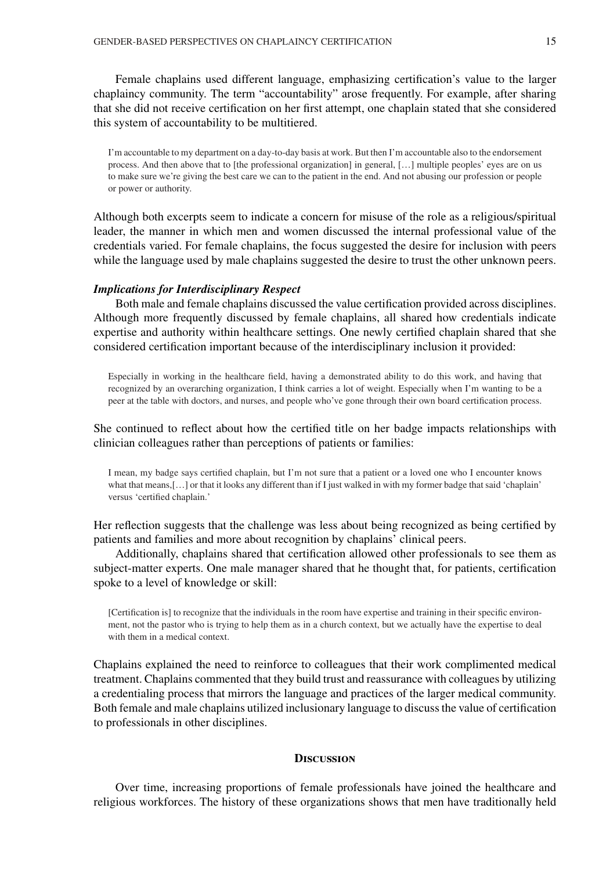Female chaplains used different language, emphasizing certification's value to the larger chaplaincy community. The term "accountability" arose frequently. For example, after sharing that she did not receive certification on her first attempt, one chaplain stated that she considered this system of accountability to be multitiered.

I'm accountable to my department on a day-to-day basis at work. But then I'm accountable also to the endorsement process. And then above that to [the professional organization] in general, […] multiple peoples' eyes are on us to make sure we're giving the best care we can to the patient in the end. And not abusing our profession or people or power or authority.

Although both excerpts seem to indicate a concern for misuse of the role as a religious/spiritual leader, the manner in which men and women discussed the internal professional value of the credentials varied. For female chaplains, the focus suggested the desire for inclusion with peers while the language used by male chaplains suggested the desire to trust the other unknown peers.

### *Implications for Interdisciplinary Respect*

Both male and female chaplains discussed the value certification provided across disciplines. Although more frequently discussed by female chaplains, all shared how credentials indicate expertise and authority within healthcare settings. One newly certified chaplain shared that she considered certification important because of the interdisciplinary inclusion it provided:

Especially in working in the healthcare field, having a demonstrated ability to do this work, and having that recognized by an overarching organization, I think carries a lot of weight. Especially when I'm wanting to be a peer at the table with doctors, and nurses, and people who've gone through their own board certification process.

She continued to reflect about how the certified title on her badge impacts relationships with clinician colleagues rather than perceptions of patients or families:

I mean, my badge says certified chaplain, but I'm not sure that a patient or a loved one who I encounter knows what that means,[...] or that it looks any different than if I just walked in with my former badge that said 'chaplain' versus 'certified chaplain.'

Her reflection suggests that the challenge was less about being recognized as being certified by patients and families and more about recognition by chaplains' clinical peers.

Additionally, chaplains shared that certification allowed other professionals to see them as subject-matter experts. One male manager shared that he thought that, for patients, certification spoke to a level of knowledge or skill:

[Certification is] to recognize that the individuals in the room have expertise and training in their specific environment, not the pastor who is trying to help them as in a church context, but we actually have the expertise to deal with them in a medical context.

Chaplains explained the need to reinforce to colleagues that their work complimented medical treatment. Chaplains commented that they build trust and reassurance with colleagues by utilizing a credentialing process that mirrors the language and practices of the larger medical community. Both female and male chaplains utilized inclusionary language to discuss the value of certification to professionals in other disciplines.

#### **Discussion**

Over time, increasing proportions of female professionals have joined the healthcare and religious workforces. The history of these organizations shows that men have traditionally held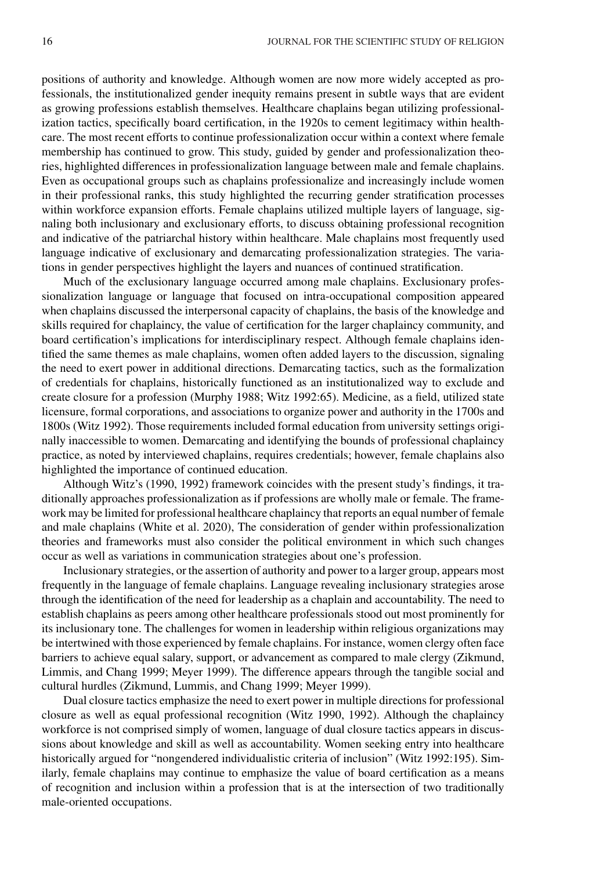positions of authority and knowledge. Although women are now more widely accepted as professionals, the institutionalized gender inequity remains present in subtle ways that are evident as growing professions establish themselves. Healthcare chaplains began utilizing professionalization tactics, specifically board certification, in the 1920s to cement legitimacy within healthcare. The most recent efforts to continue professionalization occur within a context where female membership has continued to grow. This study, guided by gender and professionalization theories, highlighted differences in professionalization language between male and female chaplains. Even as occupational groups such as chaplains professionalize and increasingly include women in their professional ranks, this study highlighted the recurring gender stratification processes within workforce expansion efforts. Female chaplains utilized multiple layers of language, signaling both inclusionary and exclusionary efforts, to discuss obtaining professional recognition and indicative of the patriarchal history within healthcare. Male chaplains most frequently used language indicative of exclusionary and demarcating professionalization strategies. The variations in gender perspectives highlight the layers and nuances of continued stratification.

Much of the exclusionary language occurred among male chaplains. Exclusionary professionalization language or language that focused on intra-occupational composition appeared when chaplains discussed the interpersonal capacity of chaplains, the basis of the knowledge and skills required for chaplaincy, the value of certification for the larger chaplaincy community, and board certification's implications for interdisciplinary respect. Although female chaplains identified the same themes as male chaplains, women often added layers to the discussion, signaling the need to exert power in additional directions. Demarcating tactics, such as the formalization of credentials for chaplains, historically functioned as an institutionalized way to exclude and create closure for a profession (Murphy 1988; Witz 1992:65). Medicine, as a field, utilized state licensure, formal corporations, and associations to organize power and authority in the 1700s and 1800s (Witz 1992). Those requirements included formal education from university settings originally inaccessible to women. Demarcating and identifying the bounds of professional chaplaincy practice, as noted by interviewed chaplains, requires credentials; however, female chaplains also highlighted the importance of continued education.

Although Witz's (1990, 1992) framework coincides with the present study's findings, it traditionally approaches professionalization as if professions are wholly male or female. The framework may be limited for professional healthcare chaplaincy that reports an equal number of female and male chaplains (White et al. 2020), The consideration of gender within professionalization theories and frameworks must also consider the political environment in which such changes occur as well as variations in communication strategies about one's profession.

Inclusionary strategies, or the assertion of authority and power to a larger group, appears most frequently in the language of female chaplains. Language revealing inclusionary strategies arose through the identification of the need for leadership as a chaplain and accountability. The need to establish chaplains as peers among other healthcare professionals stood out most prominently for its inclusionary tone. The challenges for women in leadership within religious organizations may be intertwined with those experienced by female chaplains. For instance, women clergy often face barriers to achieve equal salary, support, or advancement as compared to male clergy (Zikmund, Limmis, and Chang 1999; Meyer 1999). The difference appears through the tangible social and cultural hurdles (Zikmund, Lummis, and Chang 1999; Meyer 1999).

Dual closure tactics emphasize the need to exert power in multiple directions for professional closure as well as equal professional recognition (Witz 1990, 1992). Although the chaplaincy workforce is not comprised simply of women, language of dual closure tactics appears in discussions about knowledge and skill as well as accountability. Women seeking entry into healthcare historically argued for "nongendered individualistic criteria of inclusion" (Witz 1992:195). Similarly, female chaplains may continue to emphasize the value of board certification as a means of recognition and inclusion within a profession that is at the intersection of two traditionally male-oriented occupations.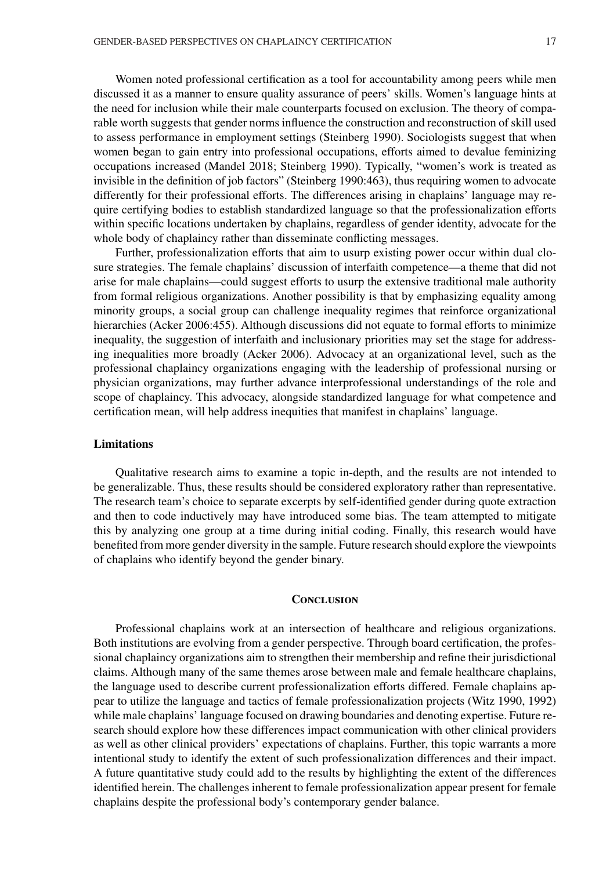Women noted professional certification as a tool for accountability among peers while men discussed it as a manner to ensure quality assurance of peers' skills. Women's language hints at the need for inclusion while their male counterparts focused on exclusion. The theory of comparable worth suggests that gender norms influence the construction and reconstruction of skill used to assess performance in employment settings (Steinberg 1990). Sociologists suggest that when women began to gain entry into professional occupations, efforts aimed to devalue feminizing occupations increased (Mandel 2018; Steinberg 1990). Typically, "women's work is treated as invisible in the definition of job factors" (Steinberg 1990:463), thus requiring women to advocate differently for their professional efforts. The differences arising in chaplains' language may require certifying bodies to establish standardized language so that the professionalization efforts within specific locations undertaken by chaplains, regardless of gender identity, advocate for the whole body of chaplaincy rather than disseminate conflicting messages.

Further, professionalization efforts that aim to usurp existing power occur within dual closure strategies. The female chaplains' discussion of interfaith competence—a theme that did not arise for male chaplains—could suggest efforts to usurp the extensive traditional male authority from formal religious organizations. Another possibility is that by emphasizing equality among minority groups, a social group can challenge inequality regimes that reinforce organizational hierarchies (Acker 2006:455). Although discussions did not equate to formal efforts to minimize inequality, the suggestion of interfaith and inclusionary priorities may set the stage for addressing inequalities more broadly (Acker 2006). Advocacy at an organizational level, such as the professional chaplaincy organizations engaging with the leadership of professional nursing or physician organizations, may further advance interprofessional understandings of the role and scope of chaplaincy. This advocacy, alongside standardized language for what competence and certification mean, will help address inequities that manifest in chaplains' language.

## **Limitations**

Qualitative research aims to examine a topic in-depth, and the results are not intended to be generalizable. Thus, these results should be considered exploratory rather than representative. The research team's choice to separate excerpts by self-identified gender during quote extraction and then to code inductively may have introduced some bias. The team attempted to mitigate this by analyzing one group at a time during initial coding. Finally, this research would have benefited from more gender diversity in the sample. Future research should explore the viewpoints of chaplains who identify beyond the gender binary.

## **Conclusion**

Professional chaplains work at an intersection of healthcare and religious organizations. Both institutions are evolving from a gender perspective. Through board certification, the professional chaplaincy organizations aim to strengthen their membership and refine their jurisdictional claims. Although many of the same themes arose between male and female healthcare chaplains, the language used to describe current professionalization efforts differed. Female chaplains appear to utilize the language and tactics of female professionalization projects (Witz 1990, 1992) while male chaplains' language focused on drawing boundaries and denoting expertise. Future research should explore how these differences impact communication with other clinical providers as well as other clinical providers' expectations of chaplains. Further, this topic warrants a more intentional study to identify the extent of such professionalization differences and their impact. A future quantitative study could add to the results by highlighting the extent of the differences identified herein. The challenges inherent to female professionalization appear present for female chaplains despite the professional body's contemporary gender balance.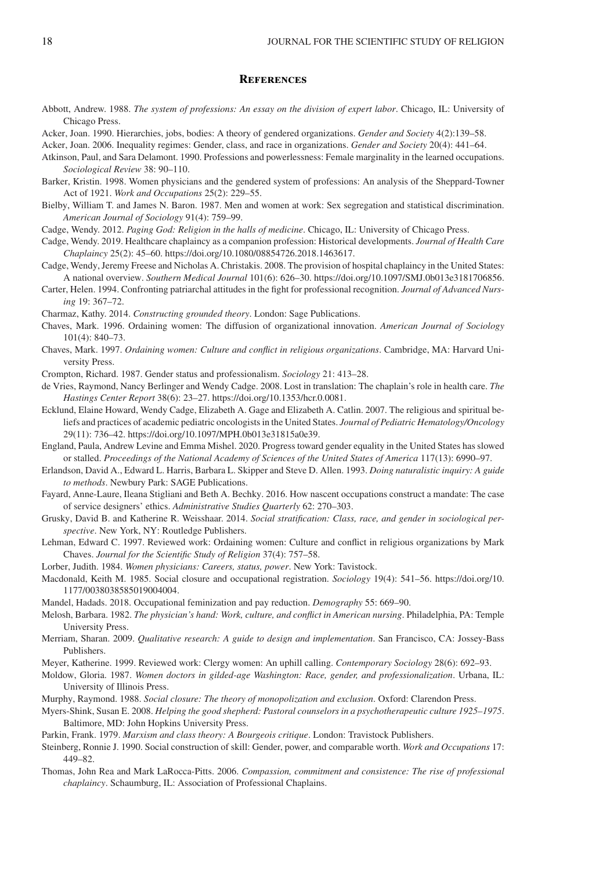## **References**

- Abbott, Andrew. 1988. *The system of professions: An essay on the division of expert labor*. Chicago, IL: University of Chicago Press.
- Acker, Joan. 1990. Hierarchies, jobs, bodies: A theory of gendered organizations. *Gender and Society* 4(2):139–58.

Acker, Joan. 2006. Inequality regimes: Gender, class, and race in organizations. *Gender and Society* 20(4): 441–64.

- Atkinson, Paul, and Sara Delamont. 1990. Professions and powerlessness: Female marginality in the learned occupations. *Sociological Review* 38: 90–110.
- Barker, Kristin. 1998. Women physicians and the gendered system of professions: An analysis of the Sheppard-Towner Act of 1921. *Work and Occupations* 25(2): 229–55.
- Bielby, William T. and James N. Baron. 1987. Men and women at work: Sex segregation and statistical discrimination. *American Journal of Sociology* 91(4): 759–99.

Cadge, Wendy. 2012. *Paging God: Religion in the halls of medicine*. Chicago, IL: University of Chicago Press.

Cadge, Wendy. 2019. Healthcare chaplaincy as a companion profession: Historical developments. *Journal of Health Care Chaplaincy* 25(2): 45–60. [https://doi.org/10.1080/08854726.2018.1463617.](https://doi.org/10.1080/08854726.2018.1463617)

- Cadge, Wendy, Jeremy Freese and Nicholas A. Christakis. 2008. The provision of hospital chaplaincy in the United States: A national overview. *Southern Medical Journal* 101(6): 626–30. [https://doi.org/10.1097/SMJ.0b013e3181706856.](https://doi.org/10.1097/SMJ.0b013e3181706856)
- Carter, Helen. 1994. Confronting patriarchal attitudes in the fight for professional recognition. *Journal of Advanced Nursing* 19: 367–72.

Charmaz, Kathy. 2014. *Constructing grounded theory*. London: Sage Publications.

- Chaves, Mark. 1996. Ordaining women: The diffusion of organizational innovation. *American Journal of Sociology* 101(4): 840–73.
- Chaves, Mark. 1997. *Ordaining women: Culture and conflict in religious organizations*. Cambridge, MA: Harvard University Press.

Crompton, Richard. 1987. Gender status and professionalism. *Sociology* 21: 413–28.

- de Vries, Raymond, Nancy Berlinger and Wendy Cadge. 2008. Lost in translation: The chaplain's role in health care. *The Hastings Center Report* 38(6): 23–27. [https://doi.org/10.1353/hcr.0.0081.](https://doi.org/10.1353/hcr.0.0081)
- Ecklund, Elaine Howard, Wendy Cadge, Elizabeth A. Gage and Elizabeth A. Catlin. 2007. The religious and spiritual beliefs and practices of academic pediatric oncologists in the United States. *Journal of Pediatric Hematology/Oncology* 29(11): 736–42. [https://doi.org/10.1097/MPH.0b013e31815a0e39.](https://doi.org/10.1097/MPH.0b013e31815a0e39)
- England, Paula, Andrew Levine and Emma Mishel. 2020. Progress toward gender equality in the United States has slowed or stalled. *Proceedings of the National Academy of Sciences of the United States of America* 117(13): 6990–97.
- Erlandson, David A., Edward L. Harris, Barbara L. Skipper and Steve D. Allen. 1993. *Doing naturalistic inquiry: A guide to methods*. Newbury Park: SAGE Publications.
- Fayard, Anne-Laure, Ileana Stigliani and Beth A. Bechky. 2016. How nascent occupations construct a mandate: The case of service designers' ethics. *Administrative Studies Quarterly* 62: 270–303.
- Grusky, David B. and Katherine R. Weisshaar. 2014. *Social stratification: Class, race, and gender in sociological perspective*. New York, NY: Routledge Publishers.
- Lehman, Edward C. 1997. Reviewed work: Ordaining women: Culture and conflict in religious organizations by Mark Chaves. *Journal for the Scientific Study of Religion* 37(4): 757–58.

Lorber, Judith. 1984. *Women physicians: Careers, status, power*. New York: Tavistock.

- Macdonald, Keith M. 1985. Social closure and occupational registration. *Sociology* 19(4): 541–56. [https://doi.org/10.](https://doi.org/10.1177/0038038585019004004) [1177/0038038585019004004.](https://doi.org/10.1177/0038038585019004004)
- Mandel, Hadads. 2018. Occupational feminization and pay reduction. *Demography* 55: 669–90.
- Melosh, Barbara. 1982. *The physician's hand: Work, culture, and conflict in American nursing*. Philadelphia, PA: Temple University Press.
- Merriam, Sharan. 2009. *Qualitative research: A guide to design and implementation*. San Francisco, CA: Jossey-Bass Publishers.
- Meyer, Katherine. 1999. Reviewed work: Clergy women: An uphill calling. *Contemporary Sociology* 28(6): 692–93.
- Moldow, Gloria. 1987. *Women doctors in gilded-age Washington: Race, gender, and professionalization*. Urbana, IL: University of Illinois Press.
- Murphy, Raymond. 1988. *Social closure: The theory of monopolization and exclusion*. Oxford: Clarendon Press.
- Myers-Shink, Susan E. 2008. *Helping the good shepherd: Pastoral counselors in a psychotherapeutic culture 1925–1975*. Baltimore, MD: John Hopkins University Press.
- Parkin, Frank. 1979. *Marxism and class theory: A Bourgeois critique*. London: Travistock Publishers.
- Steinberg, Ronnie J. 1990. Social construction of skill: Gender, power, and comparable worth. *Work and Occupations* 17: 449–82.
- Thomas, John Rea and Mark LaRocca-Pitts. 2006. *Compassion, commitment and consistence: The rise of professional chaplaincy*. Schaumburg, IL: Association of Professional Chaplains.